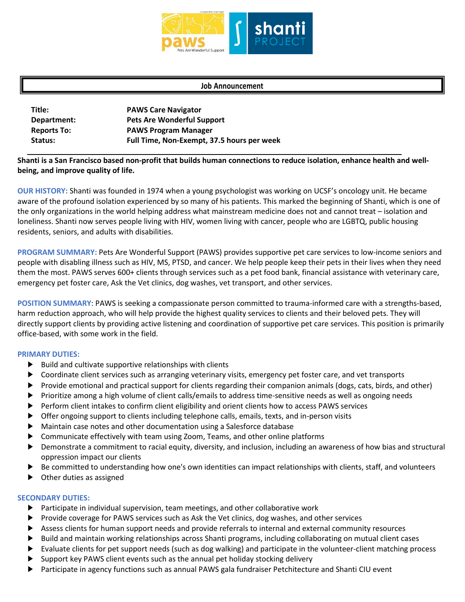

## **Job Announcement**

| Title:             | <b>PAWS Care Navigator</b>                 |
|--------------------|--------------------------------------------|
| Department:        | <b>Pets Are Wonderful Support</b>          |
| <b>Reports To:</b> | <b>PAWS Program Manager</b>                |
| Status:            | Full Time, Non-Exempt, 37.5 hours per week |

**Shanti is a San Francisco based non-profit that builds human connections to reduce isolation, enhance health and wellbeing, and improve quality of life.** 

**OUR HISTORY:** Shanti was founded in 1974 when a young psychologist was working on UCSF's oncology unit. He became aware of the profound isolation experienced by so many of his patients. This marked the beginning of Shanti, which is one of the only organizations in the world helping address what mainstream medicine does not and cannot treat – isolation and loneliness. Shanti now serves people living with HIV, women living with cancer, people who are LGBTQ, public housing residents, seniors, and adults with disabilities.

**PROGRAM SUMMARY:** Pets Are Wonderful Support (PAWS) provides supportive pet care services to low-income seniors and people with disabling illness such as HIV, MS, PTSD, and cancer. We help people keep their pets in their lives when they need them the most. PAWS serves 600+ clients through services such as a pet food bank, financial assistance with veterinary care, emergency pet foster care, Ask the Vet clinics, dog washes, vet transport, and other services.

**POSITION SUMMARY**: PAWS is seeking a compassionate person committed to trauma-informed care with a strengths-based, harm reduction approach, who will help provide the highest quality services to clients and their beloved pets. They will directly support clients by providing active listening and coordination of supportive pet care services. This position is primarily office-based, with some work in the field.

## **PRIMARY DUTIES:**

- ► Build and cultivate supportive relationships with clients
- ► Coordinate client services such as arranging veterinary visits, emergency pet foster care, and vet transports
- ► Provide emotional and practical support for clients regarding their companion animals (dogs, cats, birds, and other)
- ► Prioritize among a high volume of client calls/emails to address time-sensitive needs as well as ongoing needs
- ► Perform client intakes to confirm client eligibility and orient clients how to access PAWS services
- ▶ Offer ongoing support to clients including telephone calls, emails, texts, and in-person visits
- Maintain case notes and other documentation using a Salesforce database
- Communicate effectively with team using Zoom, Teams, and other online platforms
- ▶ Demonstrate a commitment to racial equity, diversity, and inclusion, including an awareness of how bias and structural oppression impact our clients
- ▶ Be committed to understanding how one's own identities can impact relationships with clients, staff, and volunteers
- ► Other duties as assigned

## **SECONDARY DUTIES:**

- ► Participate in individual supervision, team meetings, and other collaborative work
- ► Provide coverage for PAWS services such as Ask the Vet clinics, dog washes, and other services
- ► Assess clients for human support needs and provide referrals to internal and external community resources
- Build and maintain working relationships across Shanti programs, including collaborating on mutual client cases
- Evaluate clients for pet support needs (such as dog walking) and participate in the volunteer-client matching process
- ► Support key PAWS client events such as the annual pet holiday stocking delivery
- ► Participate in agency functions such as annual PAWS gala fundraiser Petchitecture and Shanti CIU event